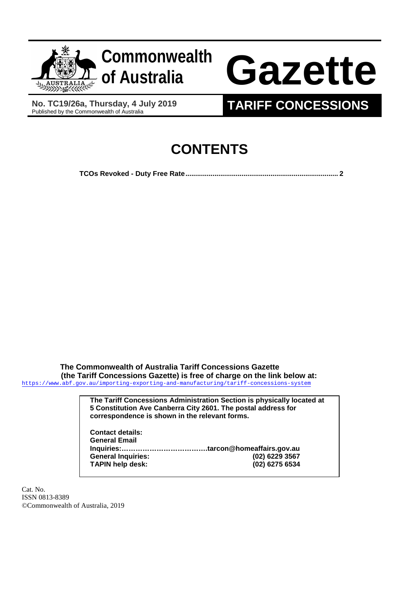

**No. TC19/26a, Thursday, 4 July 2019**

## **TARIFF CONCESSIONS**

## **CONTENTS**

**TCOs Revoked - [Duty Free Rate...............................................................................](#page-1-0) 2**

**The Commonwealth of Australia Tariff Concessions Gazette (the Tariff Concessions Gazette) is free of charge on the link below at:** <https://www.abf.gov.au/importing-exporting-and-manufacturing/tariff-concessions-system>

| The Tariff Concessions Administration Section is physically located at |                |  |  |  |
|------------------------------------------------------------------------|----------------|--|--|--|
| 5 Constitution Ave Canberra City 2601. The postal address for          |                |  |  |  |
| correspondence is shown in the relevant forms.                         |                |  |  |  |
|                                                                        |                |  |  |  |
| <b>Contact details:</b>                                                |                |  |  |  |
| <b>General Email</b>                                                   |                |  |  |  |
|                                                                        |                |  |  |  |
| <b>General Inquiries:</b>                                              | (02) 6229 3567 |  |  |  |
| <b>TAPIN help desk:</b>                                                | (02) 6275 6534 |  |  |  |
|                                                                        |                |  |  |  |

Cat. No. ISSN 0813-8389 ©Commonwealth of Australia, 2019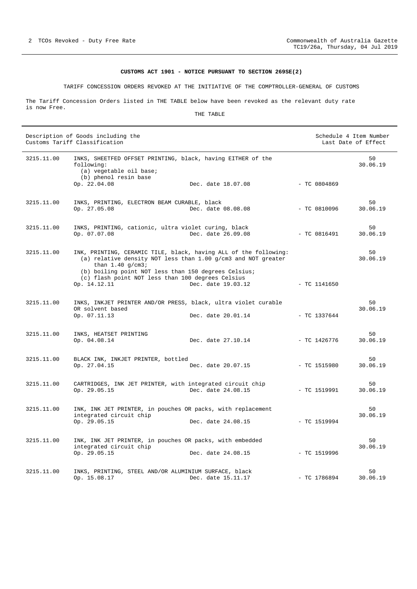## **CUSTOMS ACT 1901 - NOTICE PURSUANT TO SECTION 269SE(2)**

TARIFF CONCESSION ORDERS REVOKED AT THE INITIATIVE OF THE COMPTROLLER-GENERAL OF CUSTOMS

<span id="page-1-0"></span>The Tariff Concession Orders listed in THE TABLE below have been revoked as the relevant duty rate is now Free.

THE TABLE

| Description of Goods including the<br>Customs Tariff Classification |                                                                                                                                                                                                                                                                      |                    |  | Schedule 4 Item Number<br>Last Date of Effect |                |
|---------------------------------------------------------------------|----------------------------------------------------------------------------------------------------------------------------------------------------------------------------------------------------------------------------------------------------------------------|--------------------|--|-----------------------------------------------|----------------|
| 3215.11.00                                                          | INKS, SHEETFED OFFSET PRINTING, black, having EITHER of the<br>following:<br>(a) vegetable oil base;<br>(b) phenol resin base                                                                                                                                        |                    |  |                                               | 50<br>30.06.19 |
|                                                                     | Op. 22.04.08                                                                                                                                                                                                                                                         | Dec. date 18.07.08 |  | $-$ TC 0804869                                |                |
| 3215.11.00                                                          | INKS, PRINTING, ELECTRON BEAM CURABLE, black<br>Op. 27.05.08                                                                                                                                                                                                         | Dec. date 08.08.08 |  | $-TC 0810096$                                 | 50<br>30.06.19 |
| 3215.11.00                                                          | INKS, PRINTING, cationic, ultra violet curing, black<br>Op. 07.07.08                                                                                                                                                                                                 | Dec. date 26.09.08 |  | $-TC 0816491$                                 | 50<br>30.06.19 |
| 3215.11.00                                                          | INK, PRINTING, CERAMIC TILE, black, having ALL of the following:<br>(a) relative density NOT less than 1.00 g/cm3 and NOT greater<br>than $1.40$ g/cm3;<br>(b) boiling point NOT less than 150 degrees Celsius;<br>(c) flash point NOT less than 100 degrees Celsius |                    |  |                                               | 50<br>30.06.19 |
|                                                                     | Op. 14.12.11                                                                                                                                                                                                                                                         | Dec. date 19.03.12 |  | - TC 1141650                                  |                |
| 3215.11.00                                                          | INKS, INKJET PRINTER AND/OR PRESS, black, ultra violet curable<br>OR solvent based<br>Op. 07.11.13                                                                                                                                                                   | Dec. date 20.01.14 |  | $-$ TC 1337644                                | 50<br>30.06.19 |
| 3215.11.00                                                          | INKS, HEATSET PRINTING<br>Op. 04.08.14                                                                                                                                                                                                                               | Dec. date 27.10.14 |  | $-$ TC 1426776                                | 50<br>30.06.19 |
| 3215.11.00                                                          | BLACK INK, INKJET PRINTER, bottled<br>Op. 27.04.15                                                                                                                                                                                                                   | Dec. date 20.07.15 |  | - TC 1515980                                  | 50<br>30.06.19 |
| 3215.11.00                                                          | CARTRIDGES, INK JET PRINTER, with integrated circuit chip<br>Op. 29.05.15                                                                                                                                                                                            | Dec. date 24.08.15 |  | $-$ TC 1519991                                | 50<br>30.06.19 |
| 3215.11.00                                                          | INK, INK JET PRINTER, in pouches OR packs, with replacement<br>integrated circuit chip<br>Op. 29.05.15                                                                                                                                                               | Dec. date 24.08.15 |  | $-$ TC 1519994                                | 50<br>30.06.19 |
| 3215.11.00                                                          | INK, INK JET PRINTER, in pouches OR packs, with embedded<br>integrated circuit chip<br>Op. 29.05.15                                                                                                                                                                  | Dec. date 24.08.15 |  | - TC 1519996                                  | 50<br>30.06.19 |
| 3215.11.00                                                          | INKS, PRINTING, STEEL AND/OR ALUMINIUM SURFACE, black<br>Op. 15.08.17                                                                                                                                                                                                | Dec. date 15.11.17 |  | $-$ TC 1786894                                | 50<br>30.06.19 |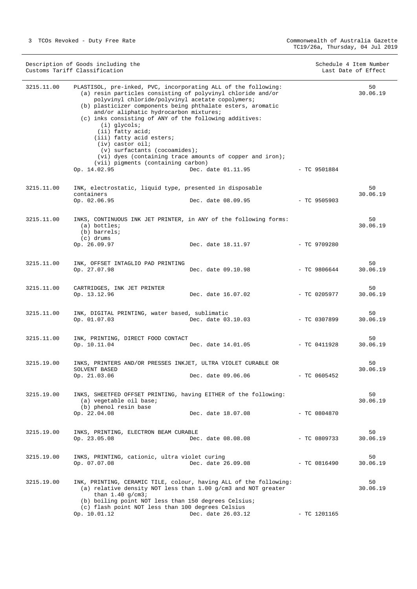|            | Description of Goods including the<br>Customs Tariff Classification                                                                                                                                                                                                                                                                                                                                                                                                                                                                                                             |                    |                | Schedule 4 Item Number<br>Last Date of Effect |
|------------|---------------------------------------------------------------------------------------------------------------------------------------------------------------------------------------------------------------------------------------------------------------------------------------------------------------------------------------------------------------------------------------------------------------------------------------------------------------------------------------------------------------------------------------------------------------------------------|--------------------|----------------|-----------------------------------------------|
| 3215.11.00 | PLASTISOL, pre-inked, PVC, incorporating ALL of the following:<br>(a) resin particles consisting of polyvinyl chloride and/or<br>polyvinyl chloride/polyvinyl acetate copolymers;<br>(b) plasticizer components being phthalate esters, aromatic<br>and/or aliphatic hydrocarbon mixtures;<br>(c) inks consisting of ANY of the following additives:<br>$(i)$ glycols;<br>(ii) fatty acid;<br>(iii) fatty acid esters;<br>(iv) castor oil;<br>$(v)$ surfactants (cocoamides);<br>(vi) dyes (containing trace amounts of copper and iron);<br>(vii) pigments (containing carbon) |                    |                | 50<br>30.06.19                                |
|            | Op. 14.02.95                                                                                                                                                                                                                                                                                                                                                                                                                                                                                                                                                                    | Dec. date 01.11.95 | $-$ TC 9501884 |                                               |
| 3215.11.00 | INK, electrostatic, liquid type, presented in disposable<br>containers<br>Op. 02.06.95                                                                                                                                                                                                                                                                                                                                                                                                                                                                                          | Dec. date 08.09.95 | $-$ TC 9505903 | 50<br>30.06.19                                |
| 3215.11.00 | INKS, CONTINUOUS INK JET PRINTER, in ANY of the following forms:<br>$(a)$ bottles;<br>(b) barrels;<br>(c) drums                                                                                                                                                                                                                                                                                                                                                                                                                                                                 |                    |                | 50<br>30.06.19                                |
|            | Op. 26.09.97                                                                                                                                                                                                                                                                                                                                                                                                                                                                                                                                                                    | Dec. date 18.11.97 | $-$ TC 9709280 |                                               |
| 3215.11.00 | INK, OFFSET INTAGLIO PAD PRINTING<br>Op. 27.07.98                                                                                                                                                                                                                                                                                                                                                                                                                                                                                                                               | Dec. date 09.10.98 | $-$ TC 9806644 | 50<br>30.06.19                                |
| 3215.11.00 | CARTRIDGES, INK JET PRINTER<br>Op. 13.12.96                                                                                                                                                                                                                                                                                                                                                                                                                                                                                                                                     | Dec. date 16.07.02 | $-$ TC 0205977 | 50<br>30.06.19                                |
| 3215.11.00 | INK, DIGITAL PRINTING, water based, sublimatic<br>Op. 01.07.03                                                                                                                                                                                                                                                                                                                                                                                                                                                                                                                  | Dec. date 03.10.03 | $-$ TC 0307899 | 50<br>30.06.19                                |
| 3215.11.00 | INK, PRINTING, DIRECT FOOD CONTACT<br>Op. 10.11.04                                                                                                                                                                                                                                                                                                                                                                                                                                                                                                                              | Dec. date 14.01.05 | $-$ TC 0411928 | 50<br>30.06.19                                |
| 3215.19.00 | INKS, PRINTERS AND/OR PRESSES INKJET, ULTRA VIOLET CURABLE OR<br>SOLVENT BASED<br>Op. 21.03.06                                                                                                                                                                                                                                                                                                                                                                                                                                                                                  | Dec. date 09.06.06 | $-$ TC 0605452 | 50<br>30.06.19                                |
| 3215.19.00 | INKS, SHEETFED OFFSET PRINTING, having EITHER of the following:<br>(a) vegetable oil base;<br>(b) phenol resin base<br>Op. 22.04.08                                                                                                                                                                                                                                                                                                                                                                                                                                             | Dec. date 18.07.08 | - TC 0804870   | 50<br>30.06.19                                |
| 3215.19.00 | INKS, PRINTING, ELECTRON BEAM CURABLE<br>Op. 23.05.08                                                                                                                                                                                                                                                                                                                                                                                                                                                                                                                           | Dec. date 08.08.08 | $-$ TC 0809733 | 50<br>30.06.19                                |
| 3215.19.00 | INKS, PRINTING, cationic, ultra violet curing<br>Op. 07.07.08                                                                                                                                                                                                                                                                                                                                                                                                                                                                                                                   | Dec. date 26.09.08 | $-$ TC 0816490 | 50<br>30.06.19                                |
| 3215.19.00 | INK, PRINTING, CERAMIC TILE, colour, having ALL of the following:<br>(a) relative density NOT less than 1.00 $q/cm3$ and NOT greater<br>than $1.40$ g/cm3;<br>(b) boiling point NOT less than 150 degrees Celsius;<br>(c) flash point NOT less than 100 degrees Celsius                                                                                                                                                                                                                                                                                                         |                    |                | 50<br>30.06.19                                |

Op. 10.01.12 Dec. date 26.03.12 - TC 1201165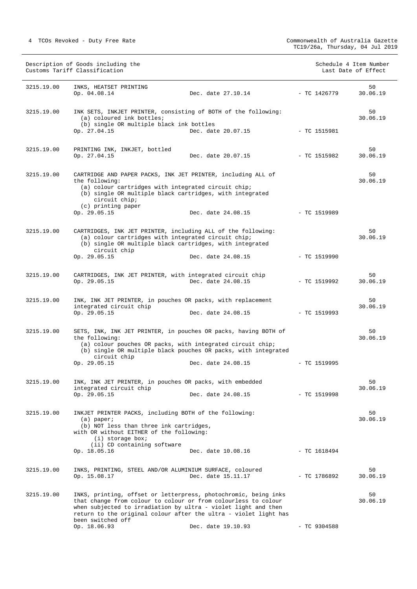|            | Description of Goods including the<br>Customs Tariff Classification                                                                                                                                                                                                                          |                    |                | Schedule 4 Item Number<br>Last Date of Effect |
|------------|----------------------------------------------------------------------------------------------------------------------------------------------------------------------------------------------------------------------------------------------------------------------------------------------|--------------------|----------------|-----------------------------------------------|
| 3215.19.00 | INKS, HEATSET PRINTING<br>Op. 04.08.14                                                                                                                                                                                                                                                       | Dec. date 27.10.14 | $-$ TC 1426779 | 50<br>30.06.19                                |
| 3215.19.00 | INK SETS, INKJET PRINTER, consisting of BOTH of the following:<br>(a) coloured ink bottles;                                                                                                                                                                                                  |                    |                | 50<br>30.06.19                                |
|            | (b) single OR multiple black ink bottles<br>Op. 27.04.15                                                                                                                                                                                                                                     | Dec. date 20.07.15 | $-$ TC 1515981 |                                               |
| 3215.19.00 | PRINTING INK, INKJET, bottled<br>Op. 27.04.15                                                                                                                                                                                                                                                | Dec. date 20.07.15 | $-$ TC 1515982 | 50<br>30.06.19                                |
| 3215.19.00 | CARTRIDGE AND PAPER PACKS, INK JET PRINTER, including ALL of<br>the following:<br>(a) colour cartridges with integrated circuit chip;<br>(b) single OR multiple black cartridges, with integrated<br>circuit chip;                                                                           |                    |                | 50<br>30.06.19                                |
|            | (c) printing paper<br>Op. 29.05.15                                                                                                                                                                                                                                                           | Dec. date 24.08.15 | - TC 1519989   |                                               |
| 3215.19.00 | CARTRIDGES, INK JET PRINTER, including ALL of the following:<br>(a) colour cartridges with integrated circuit chip;<br>(b) single OR multiple black cartridges, with integrated<br>circuit chip                                                                                              |                    |                | 50<br>30.06.19                                |
|            | Op. 29.05.15                                                                                                                                                                                                                                                                                 | Dec. date 24.08.15 | $-$ TC 1519990 |                                               |
| 3215.19.00 | CARTRIDGES, INK JET PRINTER, with integrated circuit chip<br>Op. 29.05.15                                                                                                                                                                                                                    | Dec. date 24.08.15 | $-$ TC 1519992 | 50<br>30.06.19                                |
| 3215.19.00 | INK, INK JET PRINTER, in pouches OR packs, with replacement<br>integrated circuit chip<br>Op. 29.05.15                                                                                                                                                                                       | Dec. date 24.08.15 | - TC 1519993   | 50<br>30.06.19                                |
| 3215.19.00 | SETS, INK, INK JET PRINTER, in pouches OR packs, having BOTH of<br>the following:<br>(a) colour pouches OR packs, with integrated circuit chip;<br>(b) single OR multiple black pouches OR packs, with integrated<br>circuit chip<br>Op. 29.05.15                                            | Dec. date 24.08.15 | $-$ TC 1519995 | 50<br>30.06.19                                |
| 3215.19.00 | INK, INK JET PRINTER, in pouches OR packs, with embedded<br>integrated circuit chip<br>Op. 29.05.15                                                                                                                                                                                          | Dec. date 24.08.15 | $-$ TC 1519998 | 50<br>30.06.19                                |
| 3215.19.00 | INKJET PRINTER PACKS, including BOTH of the following:<br>$(a)$ paper;<br>(b) NOT less than three ink cartridges,<br>with OR without EITHER of the following:<br>$(i)$ storage box;                                                                                                          |                    |                | 50<br>30.06.19                                |
|            | (ii) CD containing software<br>Op. 18.05.16                                                                                                                                                                                                                                                  | Dec. date 10.08.16 | - TC 1618494   |                                               |
| 3215.19.00 | INKS, PRINTING, STEEL AND/OR ALUMINIUM SURFACE, coloured<br>Op. 15.08.17                                                                                                                                                                                                                     | Dec. date 15.11.17 | - TC 1786892   | 50<br>30.06.19                                |
| 3215.19.00 | INKS, printing, offset or letterpress, photochromic, being inks<br>that change from colour to colour or from colourless to colour<br>when subjected to irradiation by ultra - violet light and then<br>return to the original colour after the ultra - violet light has<br>been switched off |                    |                | 50<br>30.06.19                                |
|            | Op. 18.06.93                                                                                                                                                                                                                                                                                 | Dec. date 19.10.93 | $-$ TC 9304588 |                                               |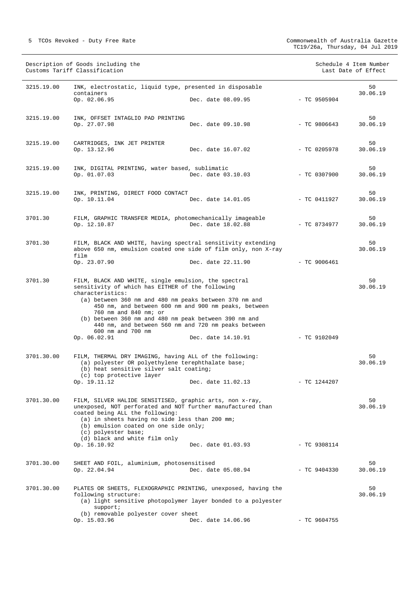|            | Description of Goods including the<br>Customs Tariff Classification                                                                                                                                                                                                                                                                                                                     |                    |                | Schedule 4 Item Number<br>Last Date of Effect |
|------------|-----------------------------------------------------------------------------------------------------------------------------------------------------------------------------------------------------------------------------------------------------------------------------------------------------------------------------------------------------------------------------------------|--------------------|----------------|-----------------------------------------------|
| 3215.19.00 | INK, electrostatic, liquid type, presented in disposable<br>containers<br>Op. 02.06.95                                                                                                                                                                                                                                                                                                  | Dec. date 08.09.95 | $-$ TC 9505904 | 50<br>30.06.19                                |
| 3215.19.00 | INK, OFFSET INTAGLIO PAD PRINTING<br>Op. 27.07.98                                                                                                                                                                                                                                                                                                                                       | Dec. date 09.10.98 | $-$ TC 9806643 | 50<br>30.06.19                                |
| 3215.19.00 | CARTRIDGES, INK JET PRINTER<br>Op. 13.12.96                                                                                                                                                                                                                                                                                                                                             | Dec. date 16.07.02 | $-$ TC 0205978 | 50<br>30.06.19                                |
| 3215.19.00 | INK, DIGITAL PRINTING, water based, sublimatic<br>Op. 01.07.03                                                                                                                                                                                                                                                                                                                          | Dec. date 03.10.03 | $-$ TC 0307900 | 50<br>30.06.19                                |
| 3215.19.00 | INK, PRINTING, DIRECT FOOD CONTACT<br>Op. 10.11.04                                                                                                                                                                                                                                                                                                                                      | Dec. date 14.01.05 | $-$ TC 0411927 | 50<br>30.06.19                                |
| 3701.30    | FILM, GRAPHIC TRANSFER MEDIA, photomechanically imageable<br>Op. 12.10.87                                                                                                                                                                                                                                                                                                               | Dec. date 18.02.88 | $-$ TC 8734977 | 50<br>30.06.19                                |
| 3701.30    | FILM, BLACK AND WHITE, having spectral sensitivity extending<br>above 650 nm, emulsion coated one side of film only, non X-ray<br>film                                                                                                                                                                                                                                                  |                    |                | 50<br>30.06.19                                |
|            | Op. 23.07.90                                                                                                                                                                                                                                                                                                                                                                            | Dec. date 22.11.90 | $-$ TC 9006461 |                                               |
| 3701.30    | FILM, BLACK AND WHITE, single emulsion, the spectral<br>sensitivity of which has EITHER of the following<br>characteristics:<br>(a) between 360 nm and 480 nm peaks between 370 nm and<br>450 nm, and between 600 nm and 900 nm peaks, between<br>760 nm and 840 nm; or<br>(b) between 360 nm and 480 nm peak between 390 nm and<br>440 nm, and between 560 nm and 720 nm peaks between |                    |                | 50<br>30.06.19                                |
|            | 600 nm and 700 nm<br>Op. 06.02.91                                                                                                                                                                                                                                                                                                                                                       | Dec. date 14.10.91 | $-$ TC 9102049 |                                               |
| 3701.30.00 | FILM, THERMAL DRY IMAGING, having ALL of the following:<br>(a) polyester OR polyethylene terephthalate base;<br>(b) heat sensitive silver salt coating;<br>(c) top protective layer<br>Op. 19.11.12                                                                                                                                                                                     | Dec. date 11.02.13 | $-$ TC 1244207 | 50<br>30.06.19                                |
| 3701.30.00 | FILM, SILVER HALIDE SENSITISED, graphic arts, non x-ray,<br>unexposed, NOT perforated and NOT further manufactured than<br>coated being ALL the following:<br>(a) in sheets having no side less than 200 mm;<br>(b) emulsion coated on one side only;<br>(c) polyester base;<br>(d) black and white film only<br>Op. 16.10.92                                                           | Dec. date 01.03.93 | $-$ TC 9308114 | 50<br>30.06.19                                |
| 3701.30.00 | SHEET AND FOIL, aluminium, photosensitised                                                                                                                                                                                                                                                                                                                                              |                    |                | 50                                            |
|            | Op. 22.04.94                                                                                                                                                                                                                                                                                                                                                                            | Dec. date 05.08.94 | $-$ TC 9404330 | 30.06.19                                      |
| 3701.30.00 | PLATES OR SHEETS, FLEXOGRAPHIC PRINTING, unexposed, having the<br>following structure:<br>(a) light sensitive photopolymer layer bonded to a polyester<br>support;                                                                                                                                                                                                                      |                    |                | 50<br>30.06.19                                |
|            | (b) removable polyester cover sheet<br>Op. 15.03.96                                                                                                                                                                                                                                                                                                                                     | Dec. date 14.06.96 | $-$ TC 9604755 |                                               |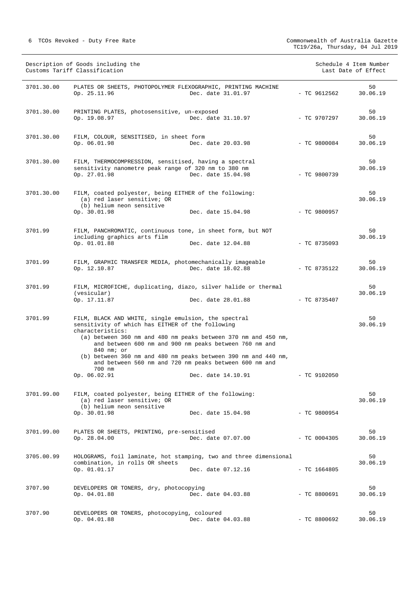|            | Description of Goods including the<br>Customs Tariff Classification                                                                                                                                                                                                                                                                                                                                                                                |                | Schedule 4 Item Number<br>Last Date of Effect |
|------------|----------------------------------------------------------------------------------------------------------------------------------------------------------------------------------------------------------------------------------------------------------------------------------------------------------------------------------------------------------------------------------------------------------------------------------------------------|----------------|-----------------------------------------------|
| 3701.30.00 | PLATES OR SHEETS, PHOTOPOLYMER FLEXOGRAPHIC, PRINTING MACHINE<br>Op. 25.11.96<br>Dec. date 31.01.97                                                                                                                                                                                                                                                                                                                                                | $-$ TC 9612562 | 50<br>30.06.19                                |
| 3701.30.00 | PRINTING PLATES, photosensitive, un-exposed<br>Op. 19.08.97<br>Dec. date 31.10.97                                                                                                                                                                                                                                                                                                                                                                  | - TC 9707297   | 50<br>30.06.19                                |
| 3701.30.00 | FILM, COLOUR, SENSITISED, in sheet form<br>Op. 06.01.98<br>Dec. date 20.03.98                                                                                                                                                                                                                                                                                                                                                                      | $-$ TC 9800084 | 50<br>30.06.19                                |
| 3701.30.00 | FILM, THERMOCOMPRESSION, sensitised, having a spectral<br>sensitivity nanometre peak range of 320 nm to 380 nm<br>Op. 27.01.98<br>Dec. date 15.04.98                                                                                                                                                                                                                                                                                               | $-$ TC 9800739 | 50<br>30.06.19                                |
| 3701.30.00 | FILM, coated polyester, being EITHER of the following:<br>(a) red laser sensitive; OR<br>(b) helium neon sensitive<br>Op. 30.01.98<br>Dec. date 15.04.98                                                                                                                                                                                                                                                                                           | $- TC 9800957$ | 50<br>30.06.19                                |
| 3701.99    | FILM, PANCHROMATIC, continuous tone, in sheet form, but NOT<br>including graphics arts film<br>Op. 01.01.88<br>Dec. date 12.04.88                                                                                                                                                                                                                                                                                                                  | $-$ TC 8735093 | 50<br>30.06.19                                |
| 3701.99    | FILM, GRAPHIC TRANSFER MEDIA, photomechanically imageable<br>Dec. date 18.02.88<br>Op. 12.10.87                                                                                                                                                                                                                                                                                                                                                    | $-$ TC 8735122 | 50<br>30.06.19                                |
| 3701.99    | FILM, MICROFICHE, duplicating, diazo, silver halide or thermal<br>(vesicular)<br>Op. 17.11.87<br>Dec. date 28.01.88                                                                                                                                                                                                                                                                                                                                | $-$ TC 8735407 | 50<br>30.06.19                                |
| 3701.99    | FILM, BLACK AND WHITE, single emulsion, the spectral<br>sensitivity of which has EITHER of the following<br>characteristics:<br>(a) between 360 nm and 480 nm peaks between 370 nm and 450 nm,<br>and between 600 nm and 900 nm peaks between 760 nm and<br>840 nm; or<br>(b) between 360 nm and 480 nm peaks between 390 nm and 440 nm,<br>and between 560 nm and 720 nm peaks between 600 nm and<br>700 nm<br>Op. 06.02.91<br>Dec. date 14.10.91 | $-$ TC 9102050 | 50<br>30.06.19                                |
| 3701.99.00 | FILM, coated polyester, being EITHER of the following:<br>(a) red laser sensitive; OR<br>(b) helium neon sensitive<br>Op. 30.01.98<br>Dec. date 15.04.98                                                                                                                                                                                                                                                                                           | $-$ TC 9800954 | 50<br>30.06.19                                |
| 3701.99.00 | PLATES OR SHEETS, PRINTING, pre-sensitised<br>Op. 28.04.00<br>Dec. date 07.07.00                                                                                                                                                                                                                                                                                                                                                                   | $-$ TC 0004305 | 50<br>30.06.19                                |
| 3705.00.99 | HOLOGRAMS, foil laminate, hot stamping, two and three dimensional<br>combination, in rolls OR sheets<br>Op. 01.01.17<br>Dec. date 07.12.16                                                                                                                                                                                                                                                                                                         | $-$ TC 1664805 | 50<br>30.06.19                                |
| 3707.90    | DEVELOPERS OR TONERS, dry, photocopying<br>Op. 04.01.88<br>Dec. date 04.03.88                                                                                                                                                                                                                                                                                                                                                                      | $-$ TC 8800691 | 50<br>30.06.19                                |
| 3707.90    | DEVELOPERS OR TONERS, photocopying, coloured<br>Op. 04.01.88<br>Dec. date 04.03.88                                                                                                                                                                                                                                                                                                                                                                 | $-$ TC 8800692 | 50<br>30.06.19                                |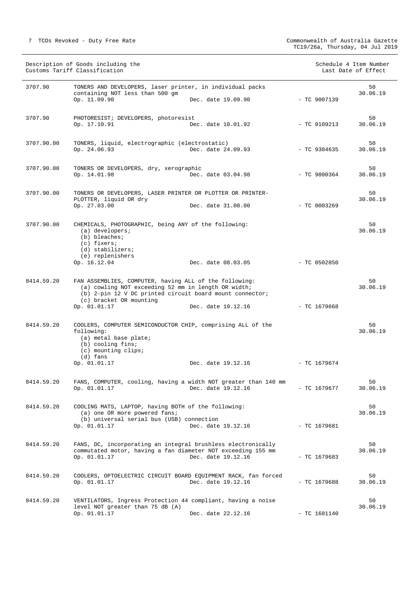| Description of Goods including the<br>Customs Tariff Classification |                                                                                                                                                                                                                      |                    |                | Schedule 4 Item Number<br>Last Date of Effect |
|---------------------------------------------------------------------|----------------------------------------------------------------------------------------------------------------------------------------------------------------------------------------------------------------------|--------------------|----------------|-----------------------------------------------|
| 3707.90                                                             | TONERS AND DEVELOPERS, laser printer, in individual packs<br>containing NOT less than 500 gm<br>Op. 11.09.90                                                                                                         | Dec. date 19.09.90 | $-$ TC 9007139 | 50<br>30.06.19                                |
| 3707.90                                                             | PHOTORESIST; DEVELOPERS, photoresist<br>Op. 17.10.91                                                                                                                                                                 | Dec. date 10.01.92 | $-$ TC 9109213 | 50<br>30.06.19                                |
| 3707.90.00                                                          | TONERS, liquid, electrographic (electrostatic)<br>Op. 24.06.93                                                                                                                                                       | Dec. date 24.09.93 | $-$ TC 9304635 | 50<br>30.06.19                                |
| 3707.90.00                                                          | TONERS OR DEVELOPERS, dry, xerographic<br>Op. 14.01.98                                                                                                                                                               | Dec. date 03.04.98 | $-$ TC 9800364 | 50<br>30.06.19                                |
| 3707.90.00                                                          | TONERS OR DEVELOPERS, LASER PRINTER OR PLOTTER OR PRINTER-<br>PLOTTER, liquid OR dry<br>Op. 27.03.00                                                                                                                 | Dec. date 31.08.00 | $-$ TC 0003269 | 50<br>30.06.19                                |
| 3707.90.00                                                          | CHEMICALS, PHOTOGRAPHIC, being ANY of the following:<br>$(a)$ developers;<br>(b) bleaches;<br>$(c)$ fixers;<br>(d) stabilizers;<br>(e) replenishers                                                                  |                    |                | 50<br>30.06.19                                |
|                                                                     | Op. 16.12.04                                                                                                                                                                                                         | Dec. date 08.03.05 | $-$ TC 0502850 |                                               |
| 8414.59.20                                                          | FAN ASSEMBLIES, COMPUTER, having ALL of the following:<br>(a) cowling NOT exceeding 52 mm in length OR width;<br>(b) 2-pin 12 V DC printed circuit board mount connector;<br>(c) bracket OR mounting<br>Op. 01.01.17 | Dec. date 19.12.16 | $-$ TC 1679668 | 50<br>30.06.19                                |
| 8414.59.20                                                          | COOLERS, COMPUTER SEMICONDUCTOR CHIP, comprising ALL of the<br>following:<br>(a) metal base plate;<br>(b) cooling fins;<br>(c) mounting clips;<br>$(d)$ fans                                                         |                    |                | 50<br>30.06.19                                |
|                                                                     | Op. 01.01.17                                                                                                                                                                                                         | Dec. date 19.12.16 | $-$ TC 1679674 |                                               |
| 8414.59.20                                                          | FANS, COMPUTER, cooling, having a width NOT greater than 140 mm<br>Op. 01.01.17                                                                                                                                      | Dec. date 19.12.16 | $-$ TC 1679677 | 50<br>30.06.19                                |
| 8414.59.20                                                          | COOLING MATS, LAPTOP, having BOTH of the following:<br>(a) one OR more powered fans;<br>(b) universal serial bus (USB) connection<br>Op. 01.01.17                                                                    | Dec. date 19.12.16 | $-$ TC 1679681 | 50<br>30.06.19                                |
| 8414.59.20                                                          | FANS, DC, incorporating an integral brushless electronically<br>commutated motor, having a fan diameter NOT exceeding 155 mm<br>Op. 01.01.17                                                                         | Dec. date 19.12.16 | - TC 1679683   | 50<br>30.06.19                                |
| 8414.59.20                                                          | COOLERS, OPTOELECTRIC CIRCUIT BOARD EQUIPMENT RACK, fan forced<br>Op. 01.01.17                                                                                                                                       | Dec. date 19.12.16 | - TC 1679688   | 50<br>30.06.19                                |
| 8414.59.20                                                          | VENTILATORS, Ingress Protection 44 compliant, having a noise<br>level NOT greater than 75 dB (A)<br>Op. 01.01.17                                                                                                     | Dec. date 22.12.16 | $-$ TC 1681140 | 50<br>30.06.19                                |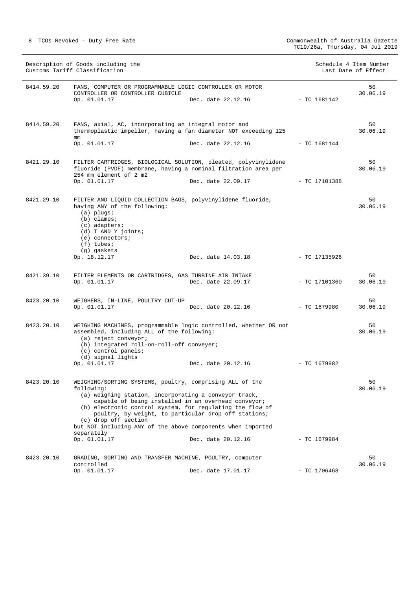|            | Description of Goods including the<br>Customs Tariff Classification                                                                                                                                                                                                                                                                                                                                                              |                    |                |                 | Schedule 4 Item Number<br>Last Date of Effect |
|------------|----------------------------------------------------------------------------------------------------------------------------------------------------------------------------------------------------------------------------------------------------------------------------------------------------------------------------------------------------------------------------------------------------------------------------------|--------------------|----------------|-----------------|-----------------------------------------------|
| 8414.59.20 | FANS, COMPUTER OR PROGRAMMABLE LOGIC CONTROLLER OR MOTOR<br>CONTROLLER OR CONTROLLER CUBICLE                                                                                                                                                                                                                                                                                                                                     |                    |                |                 | 50<br>30.06.19                                |
|            | Op. 01.01.17                                                                                                                                                                                                                                                                                                                                                                                                                     | Dec. date 22.12.16 | $-$ TC 1681142 |                 |                                               |
| 8414.59.20 | FANS, axial, AC, incorporating an integral motor and<br>thermoplastic impeller, having a fan diameter NOT exceeding 125<br>mm                                                                                                                                                                                                                                                                                                    |                    |                |                 | 50<br>30.06.19                                |
|            | Op. 01.01.17                                                                                                                                                                                                                                                                                                                                                                                                                     | Dec. date 22.12.16 | - TC 1681144   |                 |                                               |
| 8421.29.10 | FILTER CARTRIDGES, BIOLOGICAL SOLUTION, pleated, polyvinylidene<br>fluoride (PVDF) membrane, having a nominal filtration area per<br>254 mm element of 2 m2                                                                                                                                                                                                                                                                      |                    |                |                 | 50<br>30.06.19                                |
|            | Op. 01.01.17                                                                                                                                                                                                                                                                                                                                                                                                                     | Dec. date 22.09.17 |                | $-$ TC 17101388 |                                               |
| 8421.29.10 | FILTER AND LIQUID COLLECTION BAGS, polyvinylidene fluoride,<br>having ANY of the following:<br>$(a)$ plugs;<br>$(b)$ clamps;<br>$(c)$ adapters;<br>(d) T AND Y joints;<br>(e) connectors;<br>$(f)$ tubes;                                                                                                                                                                                                                        |                    |                |                 | 50<br>30.06.19                                |
|            | (g) gaskets<br>Op. 18.12.17                                                                                                                                                                                                                                                                                                                                                                                                      | Dec. date 14.03.18 |                | - TC 17135926   |                                               |
| 8421.39.10 | FILTER ELEMENTS OR CARTRIDGES, GAS TURBINE AIR INTAKE<br>Op. 01.01.17                                                                                                                                                                                                                                                                                                                                                            | Dec. date 22.09.17 |                | - TC 17101360   | 50<br>30.06.19                                |
| 8423.20.10 | WEIGHERS, IN-LINE, POULTRY CUT-UP<br>Op. 01.01.17                                                                                                                                                                                                                                                                                                                                                                                | Dec. date 20.12.16 | - TC 1679980   |                 | 50<br>30.06.19                                |
| 8423.20.10 | WEIGHING MACHINES, programmable logic controlled, whether OR not<br>assembled, including ALL of the following:<br>(a) reject conveyor;<br>(b) integrated roll-on-roll-off conveyer;<br>(c) control panels;<br>(d) signal lights                                                                                                                                                                                                  |                    |                |                 | 50<br>30.06.19                                |
|            | Op. 01.01.17                                                                                                                                                                                                                                                                                                                                                                                                                     | Dec. date 20.12.16 | $-$ TC 1679982 |                 |                                               |
| 8423.20.10 | WEIGHING/SORTING SYSTEMS, poultry, comprising ALL of the<br>following:<br>(a) weighing station, incorporating a conveyor track,<br>capable of being installed in an overhead conveyor;<br>(b) electronic control system, for regulating the flow of<br>poultry, by weight, to particular drop off stations;<br>(c) drop off section<br>but NOT including ANY of the above components when imported<br>separately<br>Op. 01.01.17 | Dec. date 20.12.16 |                | - TC 1679984    | 50<br>30.06.19                                |
| 8423.20.10 | GRADING, SORTING AND TRANSFER MACHINE, POULTRY, computer                                                                                                                                                                                                                                                                                                                                                                         |                    |                |                 | 50                                            |
|            | controlled<br>Op. 01.01.17                                                                                                                                                                                                                                                                                                                                                                                                       | Dec. date 17.01.17 |                | $-$ TC 1706468  | 30.06.19                                      |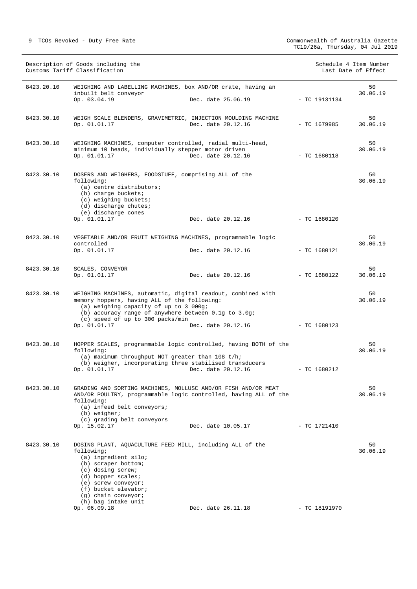| Description of Goods including the<br>Customs Tariff Classification |                                                                                                                                                                                                                                                                                    |                                 | Schedule 4 Item Number<br>Last Date of Effect |                 |                |
|---------------------------------------------------------------------|------------------------------------------------------------------------------------------------------------------------------------------------------------------------------------------------------------------------------------------------------------------------------------|---------------------------------|-----------------------------------------------|-----------------|----------------|
| 8423.20.10                                                          | WEIGHING AND LABELLING MACHINES, box AND/OR crate, having an<br>inbuilt belt conveyor<br>Op. 03.04.19                                                                                                                                                                              | Dec. date 25.06.19              |                                               | $-$ TC 19131134 | 50<br>30.06.19 |
| 8423.30.10                                                          | WEIGH SCALE BLENDERS, GRAVIMETRIC, INJECTION MOULDING MACHINE<br>Op. 01.01.17                                                                                                                                                                                                      | Dec. date 20.12.16              |                                               | $-$ TC 1679985  | 50<br>30.06.19 |
| 8423.30.10                                                          | WEIGHING MACHINES, computer controlled, radial multi-head,<br>minimum 10 heads, individually stepper motor driven<br>Op. 01.01.17                                                                                                                                                  | Dec. date 20.12.16              |                                               | - TC 1680118    | 50<br>30.06.19 |
| 8423.30.10                                                          | DOSERS AND WEIGHERS, FOODSTUFF, comprising ALL of the<br>following:<br>(a) centre distributors;<br>(b) charge buckets;<br>(c) weighing buckets;<br>(d) discharge chutes;<br>(e) discharge cones<br>Op. 01.01.17                                                                    | Dec. date 20.12.16              |                                               | $-$ TC 1680120  | 50<br>30.06.19 |
| 8423.30.10                                                          | VEGETABLE AND/OR FRUIT WEIGHING MACHINES, programmable logic<br>controlled<br>Op. 01.01.17                                                                                                                                                                                         | Dec. date 20.12.16              |                                               | $-$ TC 1680121  | 50<br>30.06.19 |
| 8423.30.10                                                          | SCALES, CONVEYOR<br>Op. 01.01.17                                                                                                                                                                                                                                                   | Dec. date 20.12.16 - TC 1680122 |                                               |                 | 50<br>30.06.19 |
| 8423.30.10                                                          | WEIGHING MACHINES, automatic, digital readout, combined with<br>memory hoppers, having ALL of the following:<br>(a) weighing capacity of up to 3 000g;<br>(b) accuracy range of anywhere between 0.1g to 3.0g;<br>(c) speed of up to 300 packs/min<br>Op. 01.01.17                 | Dec. date 20.12.16              |                                               | $-$ TC 1680123  | 50<br>30.06.19 |
| 8423.30.10                                                          | HOPPER SCALES, programmable logic controlled, having BOTH of the<br>following:<br>(a) maximum throughput NOT greater than $108 t/h$ ;<br>(b) weigher, incorporating three stabilised transducers<br>Op. 01.01.17                                                                   | Dec. date 20.12.16              |                                               | $-$ TC 1680212  | 50<br>30.06.19 |
| 8423.30.10                                                          | GRADING AND SORTING MACHINES, MOLLUSC AND/OR FISH AND/OR MEAT<br>AND/OR POULTRY, programmable logic controlled, having ALL of the<br>following:<br>(a) infeed belt conveyors;<br>$(b)$ weigher;<br>(c) grading belt conveyors<br>Op. 15.02.17                                      | Dec. date 10.05.17              |                                               | - TC 1721410    | 50<br>30.06.19 |
| 8423.30.10                                                          | DOSING PLANT, AQUACULTURE FEED MILL, including ALL of the<br>following;<br>(a) ingredient silo;<br>(b) scraper bottom;<br>(c) dosing screw;<br>(d) hopper scales;<br>$(e)$ screw conveyor;<br>(f) bucket elevator;<br>$(g)$ chain conveyor;<br>(h) bag intake unit<br>Op. 06.09.18 | Dec. date 26.11.18              |                                               | - TC 18191970   | 50<br>30.06.19 |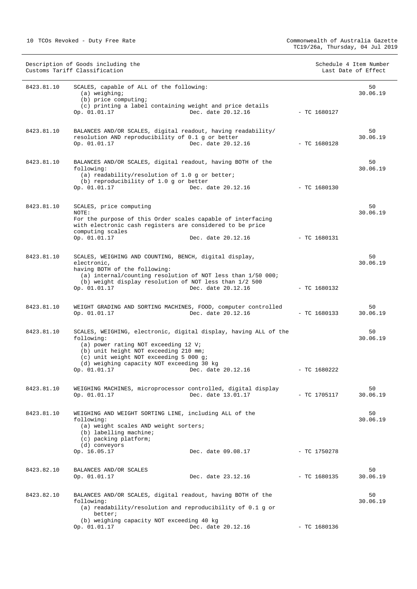|            | Description of Goods including the<br>Customs Tariff Classification                                                                                                                                                                                    |                    |                | Schedule 4 Item Number<br>Last Date of Effect |
|------------|--------------------------------------------------------------------------------------------------------------------------------------------------------------------------------------------------------------------------------------------------------|--------------------|----------------|-----------------------------------------------|
| 8423.81.10 | SCALES, capable of ALL of the following:<br>$(a)$ weighing;<br>(b) price computing;<br>(c) printing a label containing weight and price details                                                                                                        | Dec. date 20.12.16 |                | 50<br>30.06.19                                |
|            | Op. 01.01.17                                                                                                                                                                                                                                           |                    | $-$ TC 1680127 |                                               |
| 8423.81.10 | BALANCES AND/OR SCALES, digital readout, having readability/<br>resolution AND reproducibility of 0.1 g or better<br>Op. 01.01.17                                                                                                                      | Dec. date 20.12.16 | $-$ TC 1680128 | 50<br>30.06.19                                |
| 8423.81.10 | BALANCES AND/OR SCALES, digital readout, having BOTH of the<br>following:<br>(a) readability/resolution of $1.0$ g or better;<br>(b) reproducibility of 1.0 g or better<br>Op. 01.01.17                                                                | Dec. date 20.12.16 | - TC 1680130   | 50<br>30.06.19                                |
|            |                                                                                                                                                                                                                                                        |                    |                |                                               |
| 8423.81.10 | SCALES, price computing<br>NOTE:<br>For the purpose of this Order scales capable of interfacing<br>with electronic cash registers are considered to be price<br>computing scales<br>Op. 01.01.17                                                       | Dec. date 20.12.16 | $-$ TC 1680131 | 50<br>30.06.19                                |
|            |                                                                                                                                                                                                                                                        |                    |                |                                               |
| 8423.81.10 | SCALES, WEIGHING AND COUNTING, BENCH, digital display,<br>electronic,<br>having BOTH of the following:                                                                                                                                                 |                    |                | 50<br>30.06.19                                |
|            | (a) internal/counting resolution of NOT less than 1/50 000;<br>(b) weight display resolution of NOT less than 1/2 500<br>Op. 01.01.17                                                                                                                  | Dec. date 20.12.16 | $-$ TC 1680132 |                                               |
| 8423.81.10 | WEIGHT GRADING AND SORTING MACHINES, FOOD, computer controlled<br>Op. 01.01.17                                                                                                                                                                         | Dec. date 20.12.16 | $-$ TC 1680133 | 50<br>30.06.19                                |
| 8423.81.10 | SCALES, WEIGHING, electronic, digital display, having ALL of the<br>following:<br>(a) power rating NOT exceeding 12 V;<br>(b) unit height NOT exceeding 210 mm;<br>(c) unit weight NOT exceeding 5 000 g;<br>(d) weighing capacity NOT exceeding 30 kg |                    | $-$ TC 1680222 | 50<br>30.06.19                                |
|            | Op. 01.01.17                                                                                                                                                                                                                                           | Dec. date 20.12.16 |                |                                               |
| 8423.81.10 | WEIGHING MACHINES, microprocessor controlled, digital display<br>Op. 01.01.17                                                                                                                                                                          | Dec. date 13.01.17 | $-$ TC 1705117 | 50<br>30.06.19                                |
| 8423.81.10 | WEIGHING AND WEIGHT SORTING LINE, including ALL of the<br>following:<br>(a) weight scales AND weight sorters;<br>(b) labelling machine;<br>(c) packing platform;<br>(d) conveyors                                                                      |                    |                | 50<br>30.06.19                                |
|            | Op. 16.05.17                                                                                                                                                                                                                                           | Dec. date 09.08.17 | $-$ TC 1750278 |                                               |
|            |                                                                                                                                                                                                                                                        |                    |                |                                               |
| 8423.82.10 | BALANCES AND/OR SCALES<br>Op. 01.01.17                                                                                                                                                                                                                 | Dec. date 23.12.16 | $-$ TC 1680135 | 50<br>30.06.19                                |
| 8423.82.10 | BALANCES AND/OR SCALES, digital readout, having BOTH of the<br>following:<br>(a) readability/resolution and reproducibility of $0.1$ g or<br>better;                                                                                                   |                    |                | 50<br>30.06.19                                |
|            | (b) weighing capacity NOT exceeding 40 kg<br>Op. 01.01.17                                                                                                                                                                                              | Dec. date 20.12.16 | $-$ TC 1680136 |                                               |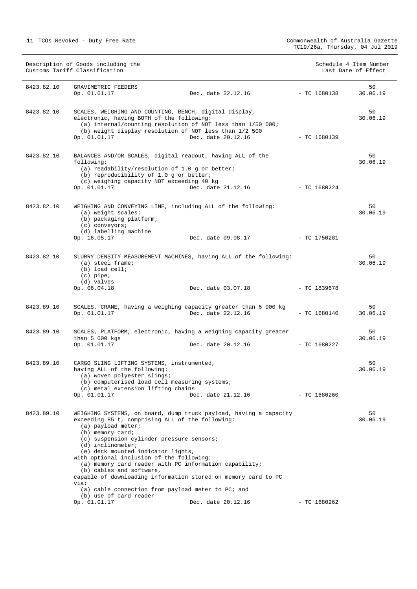| Description of Goods including the<br>Customs Tariff Classification |                                                                                                                                                                                                                                                                                                                                                                                         |                                                                                                                                                                                                                     | Schedule 4 Item Number<br>Last Date of Effect |                |
|---------------------------------------------------------------------|-----------------------------------------------------------------------------------------------------------------------------------------------------------------------------------------------------------------------------------------------------------------------------------------------------------------------------------------------------------------------------------------|---------------------------------------------------------------------------------------------------------------------------------------------------------------------------------------------------------------------|-----------------------------------------------|----------------|
| 8423.82.10                                                          | GRAVIMETRIC FEEDERS<br>Op. 01.01.17                                                                                                                                                                                                                                                                                                                                                     | Dec. date 22.12.16                                                                                                                                                                                                  | $-$ TC 1680138                                | 50<br>30.06.19 |
| 8423.82.10                                                          | SCALES, WEIGHING AND COUNTING, BENCH, digital display,<br>electronic, having BOTH of the following:<br>Op. 01.01.17                                                                                                                                                                                                                                                                     | (a) internal/counting resolution of NOT less than 1/50 000;<br>(b) weight display resolution of NOT less than 1/2 500<br>Dec. date 20.12.16                                                                         | - TC 1680139                                  | 50<br>30.06.19 |
| 8423.82.10                                                          | following:<br>(a) readability/resolution of 1.0 g or better;<br>(b) reproducibility of 1.0 g or better;<br>(c) weighing capacity NOT exceeding 40 kg<br>Op. 01.01.17                                                                                                                                                                                                                    | BALANCES AND/OR SCALES, digital readout, having ALL of the<br>Dec. date 21.12.16                                                                                                                                    | - TC 1680224                                  | 50<br>30.06.19 |
| 8423.82.10                                                          | (a) weight scales;<br>(b) packaging platform;<br>(c) conveyors;<br>(d) labelling machine<br>Op. 16.05.17                                                                                                                                                                                                                                                                                | WEIGHING AND CONVEYING LINE, including ALL of the following:<br>Dec. date 09.08.17                                                                                                                                  | - TC 1750281                                  | 50<br>30.06.19 |
| 8423.82.10                                                          | $(a)$ steel frame;<br>$(b)$ load cell;<br>$(c)$ pipe;<br>(d) valves<br>Op. 06.04.18                                                                                                                                                                                                                                                                                                     | SLURRY DENSITY MEASUREMENT MACHINES, having ALL of the following:<br>Dec. date 03.07.18                                                                                                                             | - TC 1839678                                  | 50<br>30.06.19 |
| 8423.89.10                                                          | Op. 01.01.17                                                                                                                                                                                                                                                                                                                                                                            | SCALES, CRANE, having a weighing capacity greater than 5 000 kg<br>Dec. date 22.12.16                                                                                                                               | $-$ TC 1680140                                | 50<br>30.06.19 |
| 8423.89.10                                                          | than $5000$ kgs<br>Op. 01.01.17                                                                                                                                                                                                                                                                                                                                                         | SCALES, PLATFORM, electronic, having a weighing capacity greater<br>Dec. date 20.12.16 - TC 1680227                                                                                                                 |                                               | 50<br>30.06.19 |
| 8423.89.10                                                          | CARGO SLING LIFTING SYSTEMS, instrumented,<br>having ALL of the following:<br>(a) woven polyester slings;<br>(b) computerised load cell measuring systems;<br>(c) metal extension lifting chains<br>Op. 01.01.17                                                                                                                                                                        | Dec. date 21.12.16                                                                                                                                                                                                  | $-$ TC 1680260                                | 50<br>30.06.19 |
| 8423.89.10                                                          | exceeding 85 t, comprising ALL of the following:<br>$(a)$ payload meter;<br>(b) memory card;<br>(c) suspension cylinder pressure sensors;<br>$(d)$ inclinometer;<br>(e) deck mounted indicator lights,<br>with optional inclusion of the following:<br>(b) cables and software,<br>via:<br>(a) cable connection from payload meter to PC; and<br>(b) use of card reader<br>Op. 01.01.17 | WEIGHING SYSTEMS, on board, dump truck payload, having a capacity<br>(a) memory card reader with PC information capability;<br>capable of downloading information stored on memory card to PC<br>Dec. date 20.12.16 | $-$ TC 1680262                                | 50<br>30.06.19 |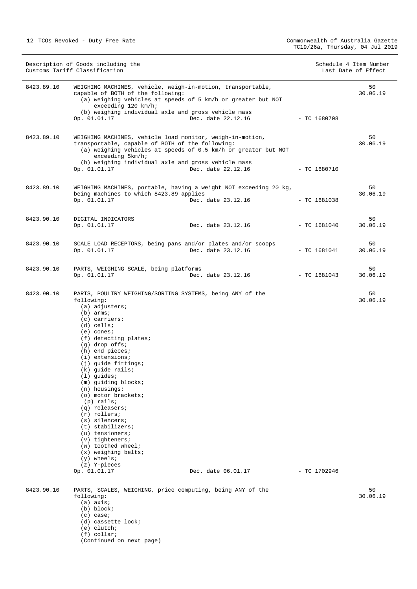(Continued on next page)

| Description of Goods including the<br>Customs Tariff Classification |                                                                                                                                                                                                                                                                                                                                                                                                                                                                                                                                                                                                                           | Schedule 4 Item Number<br>Last Date of Effect |                |                |
|---------------------------------------------------------------------|---------------------------------------------------------------------------------------------------------------------------------------------------------------------------------------------------------------------------------------------------------------------------------------------------------------------------------------------------------------------------------------------------------------------------------------------------------------------------------------------------------------------------------------------------------------------------------------------------------------------------|-----------------------------------------------|----------------|----------------|
| 8423.89.10                                                          | WEIGHING MACHINES, vehicle, weigh-in-motion, transportable,<br>capable of BOTH of the following:<br>(a) weighing vehicles at speeds of 5 km/h or greater but NOT<br>exceeding 120 km/h;<br>(b) weighing individual axle and gross vehicle mass<br>Op. 01.01.17                                                                                                                                                                                                                                                                                                                                                            | Dec. date 22.12.16                            | $-$ TC 1680708 | 50<br>30.06.19 |
| 8423.89.10                                                          | WEIGHING MACHINES, vehicle load monitor, weigh-in-motion,<br>transportable, capable of BOTH of the following:<br>(a) weighing vehicles at speeds of 0.5 km/h or greater but NOT<br>exceeding 5km/h;<br>(b) weighing individual axle and gross vehicle mass<br>Op. 01.01.17                                                                                                                                                                                                                                                                                                                                                | Dec. date 22.12.16                            | $-$ TC 1680710 | 50<br>30.06.19 |
| 8423.89.10                                                          | WEIGHING MACHINES, portable, having a weight NOT exceeding 20 kg,<br>being machines to which 8423.89 applies<br>Op. 01.01.17                                                                                                                                                                                                                                                                                                                                                                                                                                                                                              | Dec. date 23.12.16                            | $-$ TC 1681038 | 50<br>30.06.19 |
| 8423.90.10                                                          | DIGITAL INDICATORS<br>Op. 01.01.17                                                                                                                                                                                                                                                                                                                                                                                                                                                                                                                                                                                        | Dec. date 23.12.16                            | $-$ TC 1681040 | 50<br>30.06.19 |
| 8423.90.10                                                          | SCALE LOAD RECEPTORS, being pans and/or plates and/or scoops<br>Op. 01.01.17                                                                                                                                                                                                                                                                                                                                                                                                                                                                                                                                              | Dec. date 23.12.16                            | $-$ TC 1681041 | 50<br>30.06.19 |
| 8423.90.10                                                          | PARTS, WEIGHING SCALE, being platforms<br>Op. 01.01.17                                                                                                                                                                                                                                                                                                                                                                                                                                                                                                                                                                    | Dec. date 23.12.16                            | $-$ TC 1681043 | 50<br>30.06.19 |
| 8423.90.10                                                          | PARTS, POULTRY WEIGHING/SORTING SYSTEMS, being ANY of the<br>following:<br>$(a)$ adjusters;<br>$(b)$ arms;<br>(c) carriers;<br>$(d)$ cells;<br>$(e)$ cones;<br>(f) detecting plates;<br>$(g)$ drop offs;<br>(h) end pieces;<br>$(i)$ extensions;<br>(j) guide fittings;<br>$(k)$ quide rails;<br>$(1)$ guides;<br>(m) guiding blocks;<br>$(n)$ housings;<br>(o) motor brackets;<br>$(p)$ rails;<br>$(q)$ releasers;<br>$(r)$ rollers;<br>$(s)$ silencers;<br>$(t)$ stabilizers;<br>$(u)$ tensioners;<br>$(v)$ tighteners;<br>(w) toothed wheel;<br>$(x)$ weighing belts;<br>$(y)$ wheels;<br>(z) Y-pieces<br>Op. 01.01.17 | Dec. date 06.01.17                            | $-$ TC 1702946 | 50<br>30.06.19 |
| 8423.90.10                                                          | PARTS, SCALES, WEIGHING, price computing, being ANY of the<br>following:<br>$(a)$ axis;<br>(b) block;<br>(c) case;<br>(d) cassette lock;<br>$(e)$ clutch;<br>$(f)$ collar;                                                                                                                                                                                                                                                                                                                                                                                                                                                |                                               |                | 50<br>30.06.19 |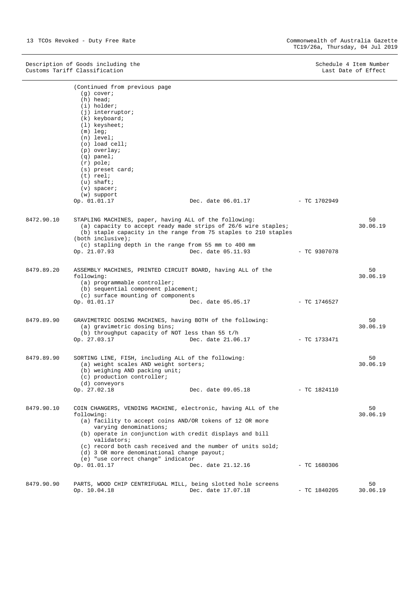Description of Goods including the Schedule 4 Item Number (Schedule 4 Item Number  $S$ chedule 4 Item Number (Schedule 4 Item Number (Schedule 4 Item Number (Schedule 4 Item Number (Schedule 4 Item Number (Schedule 4 Item Nu Customs Tariff Classification **Last Date of Effect** Customs Tariff Classification

|            | (Continued from previous page                                     |                                                                 |                |          |  |
|------------|-------------------------------------------------------------------|-----------------------------------------------------------------|----------------|----------|--|
|            | $(q)$ cover;                                                      |                                                                 |                |          |  |
|            | $(h)$ head;                                                       |                                                                 |                |          |  |
|            | (i) holder;                                                       |                                                                 |                |          |  |
|            | $(j)$ interruptor;                                                |                                                                 |                |          |  |
|            | (k) keyboard;                                                     |                                                                 |                |          |  |
|            | $(1)$ keysheet;                                                   |                                                                 |                |          |  |
|            | $(m)$ leg;                                                        |                                                                 |                |          |  |
|            | $(n)$ level;                                                      |                                                                 |                |          |  |
|            | $(o)$ load cell;                                                  |                                                                 |                |          |  |
|            | (p) overlay;                                                      |                                                                 |                |          |  |
|            | $(q)$ panel;                                                      |                                                                 |                |          |  |
|            | $(r)$ pole;                                                       |                                                                 |                |          |  |
|            | (s) preset card;                                                  |                                                                 |                |          |  |
|            | $(t)$ reel;                                                       |                                                                 |                |          |  |
|            | $(u)$ shaft;                                                      |                                                                 |                |          |  |
|            | $(v)$ spacer;                                                     |                                                                 |                |          |  |
|            | (w) support                                                       | Dec. date 06.01.17                                              |                |          |  |
|            | Op. 01.01.17                                                      |                                                                 | - TC 1702949   |          |  |
| 8472.90.10 | STAPLING MACHINES, paper, having ALL of the following:            |                                                                 |                | 50       |  |
|            |                                                                   | (a) capacity to accept ready made strips of 26/6 wire staples;  |                | 30.06.19 |  |
|            |                                                                   | (b) staple capacity in the range from 75 staples to 210 staples |                |          |  |
|            | $(both$ inclusive);                                               |                                                                 |                |          |  |
|            | (c) stapling depth in the range from 55 mm to 400 mm              |                                                                 |                |          |  |
|            | Op. 21.07.93                                                      | Dec. date 05.11.93                                              | - TC 9307078   |          |  |
|            |                                                                   |                                                                 |                |          |  |
| 8479.89.20 | 50<br>ASSEMBLY MACHINES, PRINTED CIRCUIT BOARD, having ALL of the |                                                                 |                |          |  |
|            | 30.06.19<br>following:                                            |                                                                 |                |          |  |
|            | (a) programmable controller;                                      |                                                                 |                |          |  |
|            | (b) sequential component placement;                               |                                                                 |                |          |  |
|            | (c) surface mounting of components                                |                                                                 |                |          |  |
|            | Op. 01.01.17                                                      | Dec. date 05.05.17                                              | - TC 1746527   |          |  |
|            |                                                                   |                                                                 |                |          |  |
| 8479.89.90 | GRAVIMETRIC DOSING MACHINES, having BOTH of the following:<br>50  |                                                                 |                |          |  |
|            | (a) gravimetric dosing bins;                                      |                                                                 |                | 30.06.19 |  |
|            | (b) throughput capacity of NOT less than 55 t/h                   |                                                                 |                |          |  |
|            | Op. 27.03.17                                                      | Dec. date 21.06.17                                              | - TC 1733471   |          |  |
| 8479.89.90 | SORTING LINE, FISH, including ALL of the following:               |                                                                 |                | 50       |  |
|            | (a) weight scales AND weight sorters;                             |                                                                 |                | 30.06.19 |  |
|            | (b) weighing AND packing unit;                                    |                                                                 |                |          |  |
|            | (c) production controller;                                        |                                                                 |                |          |  |
|            | (d) conveyors                                                     |                                                                 |                |          |  |
|            | Op. 27.02.18                                                      | Dec. date 09.05.18                                              | $-$ TC 1824110 |          |  |
|            |                                                                   |                                                                 |                |          |  |
| 8479.90.10 | COIN CHANGERS, VENDING MACHINE, electronic, having ALL of the     |                                                                 |                | 50       |  |
|            | following:                                                        |                                                                 |                | 30.06.19 |  |
|            | (a) facility to accept coins AND/OR tokens of 12 OR more          |                                                                 |                |          |  |
|            | varying denominations;                                            |                                                                 |                |          |  |
|            | (b) operate in conjunction with credit displays and bill          |                                                                 |                |          |  |
|            | validators;                                                       |                                                                 |                |          |  |
|            | (c) record both cash received and the number of units sold;       |                                                                 |                |          |  |
|            | (d) 3 OR more denominational change payout;                       |                                                                 |                |          |  |
|            | (e) "use correct change" indicator                                |                                                                 |                |          |  |
|            | Op. 01.01.17                                                      | Dec. date 21.12.16                                              | $-$ TC 1680306 |          |  |
|            |                                                                   |                                                                 |                |          |  |
| 8479.90.90 | PARTS, WOOD CHIP CENTRIFUGAL MILL, being slotted hole screens     |                                                                 |                | 50       |  |
|            | Op. 10.04.18                                                      | Dec. date 17.07.18                                              | $-$ TC 1840205 | 30.06.19 |  |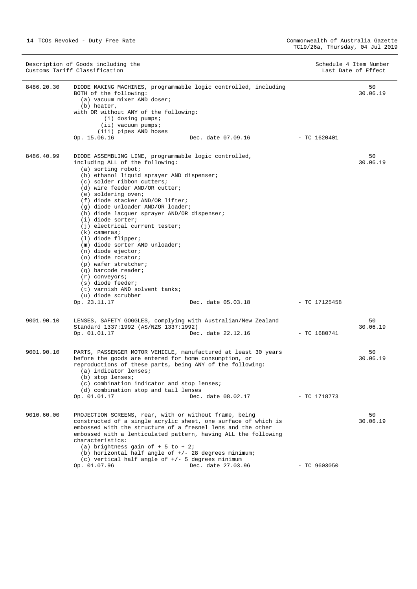|            | Description of Goods including the<br>Customs Tariff Classification                                                                                                                                                                                                                                                                                                                                                                                                                                                                                                                                                                                                                                                           |                    |                | Schedule 4 Item Number<br>Last Date of Effect |
|------------|-------------------------------------------------------------------------------------------------------------------------------------------------------------------------------------------------------------------------------------------------------------------------------------------------------------------------------------------------------------------------------------------------------------------------------------------------------------------------------------------------------------------------------------------------------------------------------------------------------------------------------------------------------------------------------------------------------------------------------|--------------------|----------------|-----------------------------------------------|
| 8486.20.30 | DIODE MAKING MACHINES, programmable logic controlled, including<br>BOTH of the following:<br>(a) vacuum mixer AND doser;<br>(b) heater,<br>with OR without ANY of the following:<br>(i) dosing pumps;<br>$(i)$ vacuum pumps;<br>(iii) pipes AND hoses<br>Op. 15.06.16                                                                                                                                                                                                                                                                                                                                                                                                                                                         | Dec. date 07.09.16 | $-$ TC 1620401 | 50<br>30.06.19                                |
| 8486.40.99 | DIODE ASSEMBLING LINE, programmable logic controlled,<br>including ALL of the following:<br>$(a)$ sorting robot;<br>(b) ethanol liquid sprayer AND dispenser;<br>(c) solder ribbon cutters;<br>(d) wire feeder AND/OR cutter;<br>(e) soldering oven;<br>(f) diode stacker AND/OR lifter;<br>(g) diode unloader AND/OR loader;<br>(h) diode lacquer sprayer AND/OR dispenser;<br>(i) diode sorter;<br>(i) electrical current tester;<br>$(k)$ cameras;<br>(1) diode flipper;<br>(m) diode sorter AND unloader;<br>$(n)$ diode ejector;<br>(o) diode rotator;<br>(p) wafer stretcher;<br>$(q)$ barcode reader;<br>$(r)$ conveyors;<br>(s) diode feeder;<br>(t) varnish AND solvent tanks;<br>(u) diode scrubber<br>Op. 23.11.17 | Dec. date 05.03.18 | - TC 17125458  | 50<br>30.06.19                                |
| 9001.90.10 | LENSES, SAFETY GOGGLES, complying with Australian/New Zealand<br>Standard 1337:1992 (AS/NZS 1337:1992)<br>Op. 01.01.17                                                                                                                                                                                                                                                                                                                                                                                                                                                                                                                                                                                                        | Dec. date 22.12.16 | $-$ TC 1680741 | 50<br>30.06.19                                |
| 9001.90.10 | PARTS, PASSENGER MOTOR VEHICLE, manufactured at least 30 years<br>before the goods are entered for home consumption, or<br>reproductions of these parts, being ANY of the following:<br>(a) indicator lenses;<br>(b) stop lenses;<br>(c) combination indicator and stop lenses;<br>(d) combination stop and tail lenses<br>Op. 01.01.17                                                                                                                                                                                                                                                                                                                                                                                       | Dec. date 08.02.17 | - TC 1718773   | 50<br>30.06.19                                |
| 9010.60.00 | PROJECTION SCREENS, rear, with or without frame, being<br>constructed of a single acrylic sheet, one surface of which is<br>embossed with the structure of a fresnel lens and the other<br>embossed with a lenticulated pattern, having ALL the following<br>characteristics:<br>(a) brightness gain of $+5$ to $+2i$<br>(b) horizontal half angle of $+/-$ 28 degrees minimum;<br>(c) vertical half angle of $+/-$ 5 degrees minimum<br>Op. 01.07.96                                                                                                                                                                                                                                                                         | Dec. date 27.03.96 | $-$ TC 9603050 | 50<br>30.06.19                                |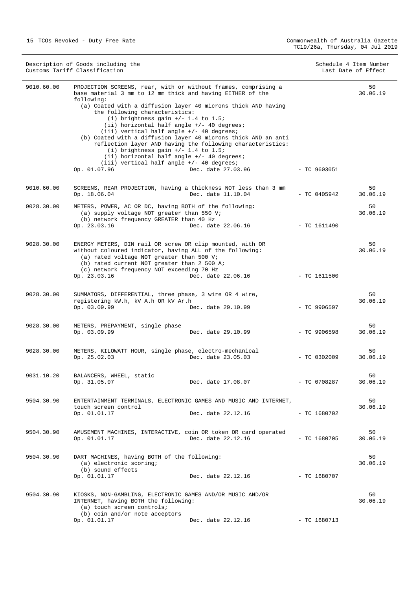| Description of Goods including the<br>Customs Tariff Classification |                                                                                                                                                                                                                                                                                                                                                                                                                                                                                                                                                                                                                                                                                    |                    | Schedule 4 Item Number<br>Last Date of Effect |                |
|---------------------------------------------------------------------|------------------------------------------------------------------------------------------------------------------------------------------------------------------------------------------------------------------------------------------------------------------------------------------------------------------------------------------------------------------------------------------------------------------------------------------------------------------------------------------------------------------------------------------------------------------------------------------------------------------------------------------------------------------------------------|--------------------|-----------------------------------------------|----------------|
| 9010.60.00                                                          | PROJECTION SCREENS, rear, with or without frames, comprising a<br>base material 3 mm to 12 mm thick and having EITHER of the<br>following:<br>(a) Coated with a diffusion layer 40 microns thick AND having<br>the following characteristics:<br>(i) brightness gain $+/- 1.4$ to 1.5;<br>(ii) horizontal half angle $+/-$ 40 degrees;<br>$(iii)$ vertical half angle $+/-$ 40 degrees;<br>(b) Coated with a diffusion layer 40 microns thick AND an anti<br>reflection layer AND having the following characteristics:<br>(i) brightness gain $+/- 1.4$ to 1.5;<br>$(i)$ horizontal half angle $+/-$ 40 degrees;<br>$(iii)$ vertical half angle $+/-$ 40 degrees;<br>Op. 01.07.96 | Dec. date 27.03.96 | $-$ TC 9603051                                | 50<br>30.06.19 |
|                                                                     |                                                                                                                                                                                                                                                                                                                                                                                                                                                                                                                                                                                                                                                                                    |                    |                                               |                |
| 9010.60.00                                                          | SCREENS, REAR PROJECTION, having a thickness NOT less than 3 mm<br>Op. 18.06.04                                                                                                                                                                                                                                                                                                                                                                                                                                                                                                                                                                                                    | Dec. date 11.10.04 | $-$ TC 0405942                                | 50<br>30.06.19 |
| 9028.30.00                                                          | METERS, POWER, AC OR DC, having BOTH of the following:<br>(a) supply voltage NOT greater than 550 V;<br>(b) network frequency GREATER than 40 Hz<br>Op. 23.03.16                                                                                                                                                                                                                                                                                                                                                                                                                                                                                                                   | Dec. date 22.06.16 | - TC 1611490                                  | 50<br>30.06.19 |
| 9028.30.00                                                          | ENERGY METERS, DIN rail OR screw OR clip mounted, with OR<br>without coloured indicator, having ALL of the following:<br>(a) rated voltage NOT greater than 500 V;<br>(b) rated current NOT greater than 2 500 A;<br>(c) network frequency NOT exceeding 70 Hz<br>Op. 23.03.16                                                                                                                                                                                                                                                                                                                                                                                                     | Dec. date 22.06.16 | - TC 1611500                                  | 50<br>30.06.19 |
| 9028.30.00                                                          | SUMMATORS, DIFFERENTIAL, three phase, 3 wire OR 4 wire,<br>registering kW.h, kV A.h OR kV Ar.h<br>Op. 03.09.99                                                                                                                                                                                                                                                                                                                                                                                                                                                                                                                                                                     | Dec. date 29.10.99 | $-$ TC 9906597                                | 50<br>30.06.19 |
| 9028.30.00                                                          | METERS, PREPAYMENT, single phase<br>Op. 03.09.99                                                                                                                                                                                                                                                                                                                                                                                                                                                                                                                                                                                                                                   | Dec. date 29.10.99 | $-$ TC 9906598                                | 50<br>30.06.19 |
| 9028.30.00                                                          | METERS, KILOWATT HOUR, single phase, electro-mechanical<br>Op. 25.02.03                                                                                                                                                                                                                                                                                                                                                                                                                                                                                                                                                                                                            | Dec. date 23.05.03 | $-$ TC 0302009                                | 50<br>30.06.19 |
| 9031.10.20                                                          | BALANCERS, WHEEL, static<br>Op. 31.05.07                                                                                                                                                                                                                                                                                                                                                                                                                                                                                                                                                                                                                                           | Dec. date 17.08.07 | - TC 0708287                                  | 50<br>30.06.19 |
| 9504.30.90                                                          | ENTERTAINMENT TERMINALS, ELECTRONIC GAMES AND MUSIC AND INTERNET,<br>touch screen control<br>Op. 01.01.17                                                                                                                                                                                                                                                                                                                                                                                                                                                                                                                                                                          | Dec. date 22.12.16 | $-$ TC 1680702                                | 50<br>30.06.19 |
| 9504.30.90                                                          | AMUSEMENT MACHINES, INTERACTIVE, coin OR token OR card operated<br>Op. 01.01.17                                                                                                                                                                                                                                                                                                                                                                                                                                                                                                                                                                                                    | Dec. date 22.12.16 | $-$ TC 1680705                                | 50<br>30.06.19 |
| 9504.30.90                                                          | DART MACHINES, having BOTH of the following:<br>(a) electronic scoring;<br>(b) sound effects<br>Op. 01.01.17                                                                                                                                                                                                                                                                                                                                                                                                                                                                                                                                                                       | Dec. date 22.12.16 | $-$ TC 1680707                                | 50<br>30.06.19 |
| 9504.30.90                                                          | KIOSKS, NON-GAMBLING, ELECTRONIC GAMES AND/OR MUSIC AND/OR<br>INTERNET, having BOTH the following:<br>(a) touch screen controls;<br>(b) coin and/or note acceptors                                                                                                                                                                                                                                                                                                                                                                                                                                                                                                                 |                    |                                               | 50<br>30.06.19 |
|                                                                     | Op. 01.01.17                                                                                                                                                                                                                                                                                                                                                                                                                                                                                                                                                                                                                                                                       | Dec. date 22.12.16 | $-$ TC 1680713                                |                |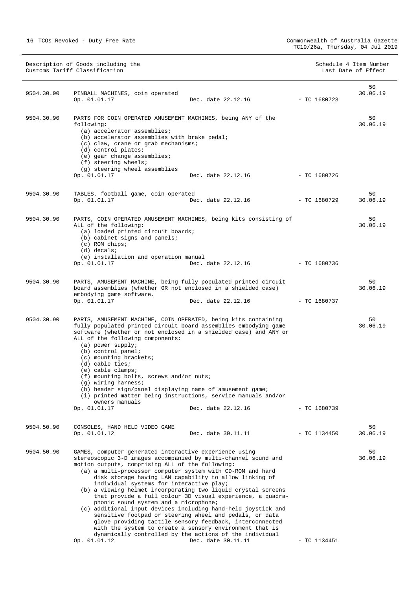Description of Goods including the Schedule 4 Item Number (Schedule 4 Item Number  $S$ chedule 4 Item Number (Schedule 4 Item Number (Schedule 4 Item Number (Schedule 4 Item Number (Schedule 4 Item Number (Schedule 4 Item Nu Customs Tariff Classification **Last Date of Effect** Customs Tariff Classification

| 9504.30.90 | PINBALL MACHINES, coin operated<br>Op. 01.01.17                                                                                                                                                                                                                                                                                                                                                                                                                                                                                                                                             | Dec. date 22.12.16                                                                                                                                                                                                                                                                                                            | - TC 1680723   | 50<br>30.06.19 |
|------------|---------------------------------------------------------------------------------------------------------------------------------------------------------------------------------------------------------------------------------------------------------------------------------------------------------------------------------------------------------------------------------------------------------------------------------------------------------------------------------------------------------------------------------------------------------------------------------------------|-------------------------------------------------------------------------------------------------------------------------------------------------------------------------------------------------------------------------------------------------------------------------------------------------------------------------------|----------------|----------------|
|            |                                                                                                                                                                                                                                                                                                                                                                                                                                                                                                                                                                                             |                                                                                                                                                                                                                                                                                                                               |                |                |
| 9504.30.90 | PARTS FOR COIN OPERATED AMUSEMENT MACHINES, being ANY of the<br>following:<br>(a) accelerator assemblies;<br>(b) accelerator assemblies with brake pedal;<br>(c) claw, crane or grab mechanisms;<br>(d) control plates;<br>(e) gear change assemblies;<br>$(f)$ steering wheels;                                                                                                                                                                                                                                                                                                            |                                                                                                                                                                                                                                                                                                                               |                | 50<br>30.06.19 |
|            | (g) steering wheel assemblies<br>Op. 01.01.17                                                                                                                                                                                                                                                                                                                                                                                                                                                                                                                                               | Dec. date 22.12.16                                                                                                                                                                                                                                                                                                            | - TC 1680726   |                |
| 9504.30.90 | TABLES, football game, coin operated<br>Op. 01.01.17                                                                                                                                                                                                                                                                                                                                                                                                                                                                                                                                        | Dec. date 22.12.16                                                                                                                                                                                                                                                                                                            | - TC 1680729   | 50<br>30.06.19 |
| 9504.30.90 | PARTS, COIN OPERATED AMUSEMENT MACHINES, being kits consisting of<br>ALL of the following:<br>(a) loaded printed circuit boards;<br>(b) cabinet signs and panels;<br>$(c)$ ROM chips;<br>$(d)$ decals;<br>(e) installation and operation manual<br>Op. 01.01.17                                                                                                                                                                                                                                                                                                                             | Dec. date 22.12.16                                                                                                                                                                                                                                                                                                            | $-$ TC 1680736 | 50<br>30.06.19 |
| 9504.30.90 | PARTS, AMUSEMENT MACHINE, being fully populated printed circuit<br>board assemblies (whether OR not enclosed in a shielded case)<br>embodying game software.<br>Op. 01.01.17                                                                                                                                                                                                                                                                                                                                                                                                                | Dec. date 22.12.16                                                                                                                                                                                                                                                                                                            | $-$ TC 1680737 | 50<br>30.06.19 |
| 9504.30.90 | PARTS, AMUSEMENT MACHINE, COIN OPERATED, being kits containing<br>fully populated printed circuit board assemblies embodying game<br>software (whether or not enclosed in a shielded case) and ANY or<br>ALL of the following components:<br>(a) power supply;<br>(b) control panel;<br>(c) mounting brackets;<br>$(d)$ cable ties;<br>$(e)$ cable clamps;<br>(f) mounting bolts, screws and/or nuts;<br>(g) wiring harness;<br>(h) header sign/panel displaying name of amusement game;<br>(i) printed matter being instructions, service manuals and/or<br>owners manuals<br>Op. 01.01.17 | Dec. date 22.12.16                                                                                                                                                                                                                                                                                                            | $-$ TC 1680739 | 50<br>30.06.19 |
| 9504.50.90 | CONSOLES, HAND HELD VIDEO GAME<br>Op. 01.01.12                                                                                                                                                                                                                                                                                                                                                                                                                                                                                                                                              | Dec. date 30.11.11                                                                                                                                                                                                                                                                                                            | $-$ TC 1134450 | 50<br>30.06.19 |
| 9504.50.90 | GAMES, computer generated interactive experience using<br>stereoscopic 3-D images accompanied by multi-channel sound and<br>motion outputs, comprising ALL of the following:<br>(a) a multi-processor computer system with CD-ROM and hard<br>disk storage having LAN capability to allow linking of<br>individual systems for interactive play;<br>(b) a viewing helmet incorporating two liquid crystal screens<br>phonic sound system and a microphone;<br>(c) additional input devices including hand-held joystick and<br>Op. 01.01.12                                                 | that provide a full colour 3D visual experience, a quadra-<br>sensitive footpad or steering wheel and pedals, or data<br>glove providing tactile sensory feedback, interconnected<br>with the system to create a sensory environment that is<br>dynamically controlled by the actions of the individual<br>Dec. date 30.11.11 | - TC 1134451   | 50<br>30.06.19 |